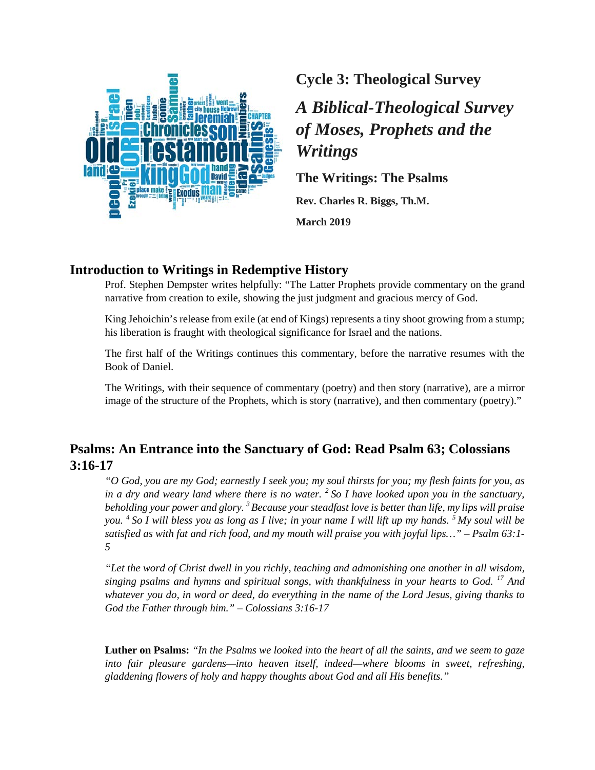

**Cycle 3: Theological Survey**

# *A Biblical-Theological Survey of Moses, Prophets and the Writings*

**The Writings: The Psalms**

**Rev. Charles R. Biggs, Th.M. March 2019**

# **Introduction to Writings in Redemptive History**

Prof. Stephen Dempster writes helpfully: "The Latter Prophets provide commentary on the grand narrative from creation to exile, showing the just judgment and gracious mercy of God.

King Jehoichin's release from exile (at end of Kings) represents a tiny shoot growing from a stump; his liberation is fraught with theological significance for Israel and the nations.

The first half of the Writings continues this commentary, before the narrative resumes with the Book of Daniel.

The Writings, with their sequence of commentary (poetry) and then story (narrative), are a mirror image of the structure of the Prophets, which is story (narrative), and then commentary (poetry)."

# **Psalms: An Entrance into the Sanctuary of God: Read Psalm 63; Colossians 3:16-17**

*"O God, you are my God; earnestly I seek you; my soul thirsts for you; my flesh faints for you, as in a dry and weary land where there is no water. 2 So I have looked upon you in the sanctuary, beholding your power and glory. 3 Because your steadfast love is better than life, my lips will praise you. 4 So I will bless you as long as I live; in your name I will lift up my hands. 5 My soul will be satisfied as with fat and rich food, and my mouth will praise you with joyful lips…" – Psalm 63:1- 5*

*"Let the word of Christ dwell in you richly, teaching and admonishing one another in all wisdom, singing psalms and hymns and spiritual songs, with thankfulness in your hearts to God. <sup>17</sup> And whatever you do, in word or deed, do everything in the name of the Lord Jesus, giving thanks to God the Father through him." – Colossians 3:16-17*

**Luther on Psalms:** *"In the Psalms we looked into the heart of all the saints, and we seem to gaze into fair pleasure gardens—into heaven itself, indeed—where blooms in sweet, refreshing, gladdening flowers of holy and happy thoughts about God and all His benefits."*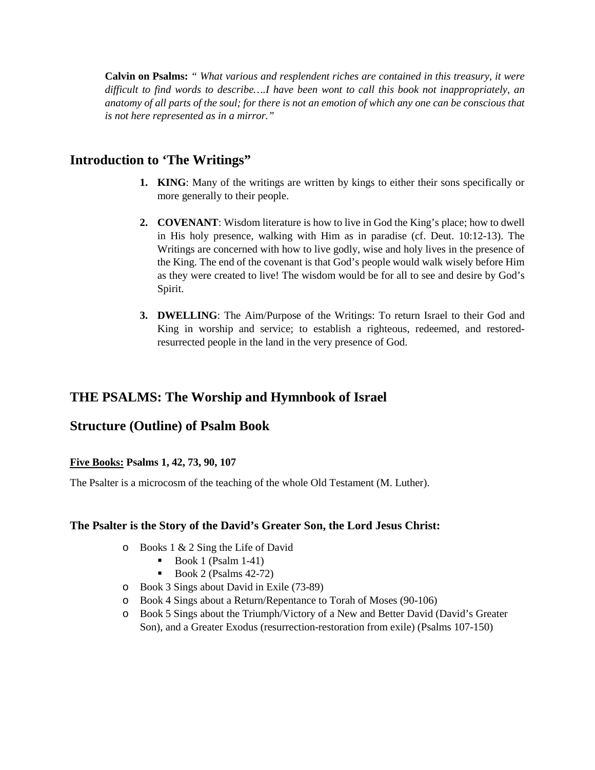**Calvin on Psalms:** *" What various and resplendent riches are contained in this treasury, it were difficult to find words to describe….I have been wont to call this book not inappropriately, an anatomy of all parts of the soul; for there is not an emotion of which any one can be conscious that is not here represented as in a mirror."*

# **Introduction to 'The Writings"**

- **1. KING**: Many of the writings are written by kings to either their sons specifically or more generally to their people.
- **2. COVENANT**: Wisdom literature is how to live in God the King's place; how to dwell in His holy presence, walking with Him as in paradise (cf. Deut. 10:12-13). The Writings are concerned with how to live godly, wise and holy lives in the presence of the King. The end of the covenant is that God's people would walk wisely before Him as they were created to live! The wisdom would be for all to see and desire by God's Spirit.
- **3. DWELLING**: The Aim/Purpose of the Writings: To return Israel to their God and King in worship and service; to establish a righteous, redeemed, and restoredresurrected people in the land in the very presence of God.

# **THE PSALMS: The Worship and Hymnbook of Israel**

# **Structure (Outline) of Psalm Book**

### **Five Books: Psalms 1, 42, 73, 90, 107**

The Psalter is a microcosm of the teaching of the whole Old Testament (M. Luther).

### **The Psalter is the Story of the David's Greater Son, the Lord Jesus Christ:**

- o Books 1 & 2 Sing the Life of David
	- Book 1 (Psalm  $1-41$ )
	- Book 2 (Psalms  $42-72$ )
- o Book 3 Sings about David in Exile (73-89)
- o Book 4 Sings about a Return/Repentance to Torah of Moses (90-106)
- o Book 5 Sings about the Triumph/Victory of a New and Better David (David's Greater Son), and a Greater Exodus (resurrection-restoration from exile) (Psalms 107-150)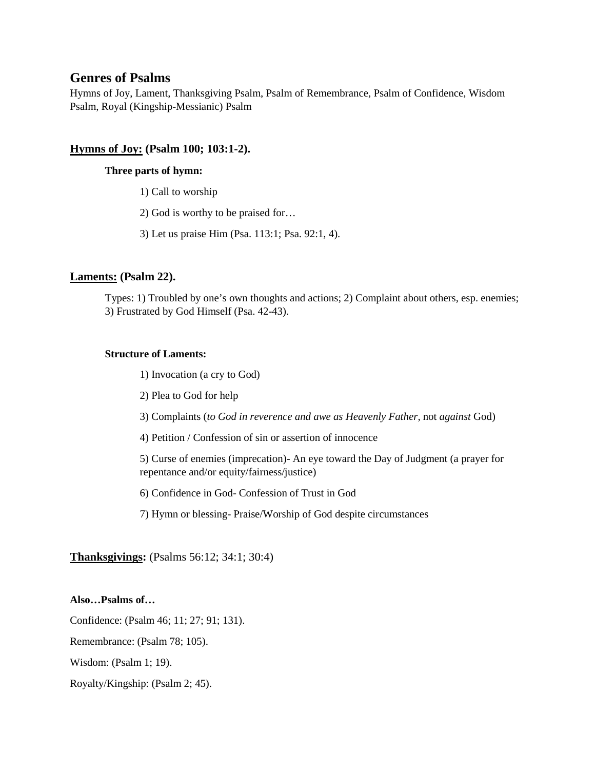# **Genres of Psalms**

Hymns of Joy, Lament, Thanksgiving Psalm, Psalm of Remembrance, Psalm of Confidence, Wisdom Psalm, Royal (Kingship-Messianic) Psalm

### **Hymns of Joy: (Psalm 100; 103:1-2).**

#### **Three parts of hymn:**

- 1) Call to worship
- 2) God is worthy to be praised for…
- 3) Let us praise Him (Psa. 113:1; Psa. 92:1, 4).

#### **Laments: (Psalm 22).**

Types: 1) Troubled by one's own thoughts and actions; 2) Complaint about others, esp. enemies; 3) Frustrated by God Himself (Psa. 42-43).

#### **Structure of Laments:**

- 1) Invocation (a cry to God)
- 2) Plea to God for help
- 3) Complaints (*to God in reverence and awe as Heavenly Father,* not *against* God)
- 4) Petition / Confession of sin or assertion of innocence
- 5) Curse of enemies (imprecation)- An eye toward the Day of Judgment (a prayer for repentance and/or equity/fairness/justice)
- 6) Confidence in God- Confession of Trust in God
- 7) Hymn or blessing- Praise/Worship of God despite circumstances

### **Thanksgivings:** (Psalms 56:12; 34:1; 30:4)

#### **Also…Psalms of…**

Confidence: (Psalm 46; 11; 27; 91; 131).

Remembrance: (Psalm 78; 105).

Wisdom: (Psalm 1; 19).

Royalty/Kingship: (Psalm 2; 45).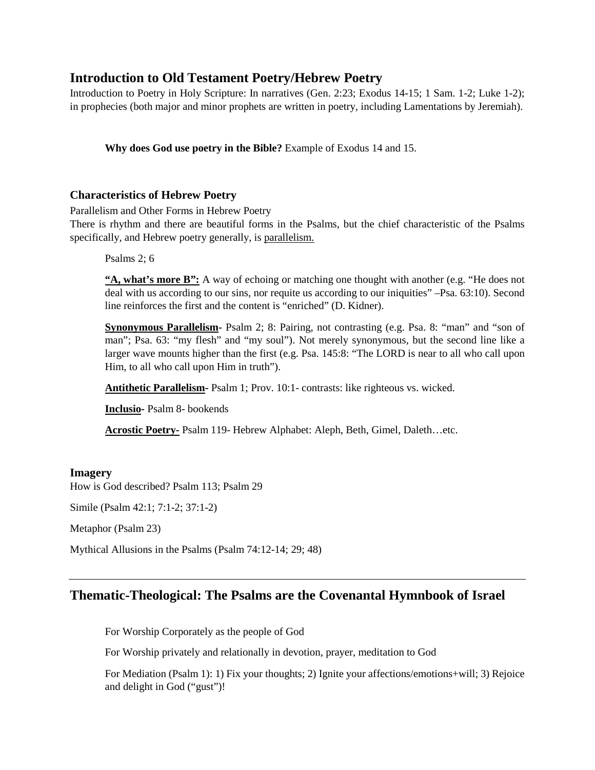# **Introduction to Old Testament Poetry/Hebrew Poetry**

Introduction to Poetry in Holy Scripture: In narratives (Gen. 2:23; Exodus 14-15; 1 Sam. 1-2; Luke 1-2); in prophecies (both major and minor prophets are written in poetry, including Lamentations by Jeremiah).

**Why does God use poetry in the Bible?** Example of Exodus 14 and 15.

### **Characteristics of Hebrew Poetry**

Parallelism and Other Forms in Hebrew Poetry

There is rhythm and there are beautiful forms in the Psalms, but the chief characteristic of the Psalms specifically, and Hebrew poetry generally, is parallelism.

Psalms 2; 6

**"A, what's more B":** A way of echoing or matching one thought with another (e.g. "He does not deal with us according to our sins, nor requite us according to our iniquities" –Psa. 63:10). Second line reinforces the first and the content is "enriched" (D. Kidner).

**Synonymous Parallelism-** Psalm 2; 8: Pairing, not contrasting (e.g. Psa. 8: "man" and "son of man"; Psa. 63: "my flesh" and "my soul"). Not merely synonymous, but the second line like a larger wave mounts higher than the first (e.g. Psa. 145:8: "The LORD is near to all who call upon Him, to all who call upon Him in truth").

**Antithetic Parallelism-** Psalm 1; Prov. 10:1- contrasts: like righteous vs. wicked.

**Inclusio-** Psalm 8- bookends

**Acrostic Poetry-** Psalm 119- Hebrew Alphabet: Aleph, Beth, Gimel, Daleth…etc.

### **Imagery**

How is God described? Psalm 113; Psalm 29

Simile (Psalm 42:1; 7:1-2; 37:1-2)

Metaphor (Psalm 23)

Mythical Allusions in the Psalms (Psalm 74:12-14; 29; 48)

# **Thematic-Theological: The Psalms are the Covenantal Hymnbook of Israel**

For Worship Corporately as the people of God

For Worship privately and relationally in devotion, prayer, meditation to God

For Mediation (Psalm 1): 1) Fix your thoughts; 2) Ignite your affections/emotions+will; 3) Rejoice and delight in God ("gust")!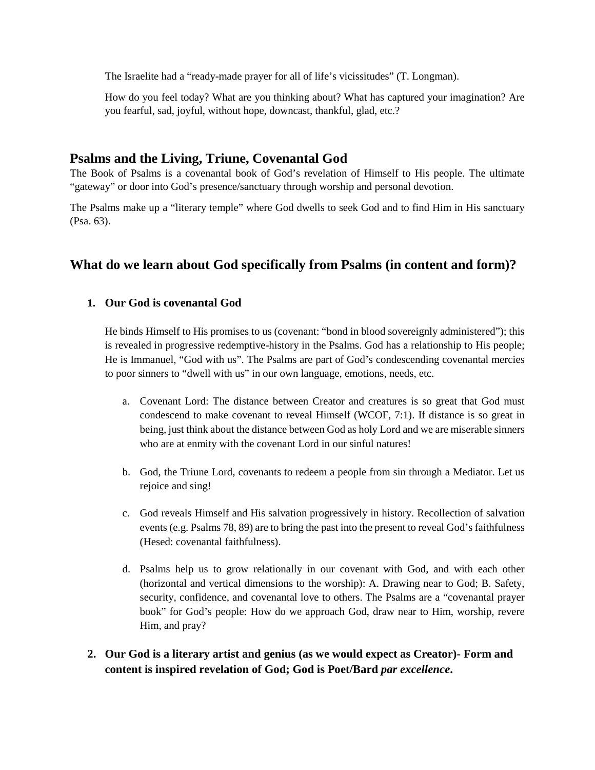The Israelite had a "ready-made prayer for all of life's vicissitudes" (T. Longman).

How do you feel today? What are you thinking about? What has captured your imagination? Are you fearful, sad, joyful, without hope, downcast, thankful, glad, etc.?

# **Psalms and the Living, Triune, Covenantal God**

The Book of Psalms is a covenantal book of God's revelation of Himself to His people. The ultimate "gateway" or door into God's presence/sanctuary through worship and personal devotion.

The Psalms make up a "literary temple" where God dwells to seek God and to find Him in His sanctuary (Psa. 63).

# **What do we learn about God specifically from Psalms (in content and form)?**

# **1. Our God is covenantal God**

He binds Himself to His promises to us (covenant: "bond in blood sovereignly administered"); this is revealed in progressive redemptive-history in the Psalms. God has a relationship to His people; He is Immanuel, "God with us". The Psalms are part of God's condescending covenantal mercies to poor sinners to "dwell with us" in our own language, emotions, needs, etc.

- a. Covenant Lord: The distance between Creator and creatures is so great that God must condescend to make covenant to reveal Himself (WCOF, 7:1). If distance is so great in being, just think about the distance between God as holy Lord and we are miserable sinners who are at enmity with the covenant Lord in our sinful natures!
- b. God, the Triune Lord, covenants to redeem a people from sin through a Mediator. Let us rejoice and sing!
- c. God reveals Himself and His salvation progressively in history. Recollection of salvation events (e.g. Psalms 78, 89) are to bring the past into the present to reveal God's faithfulness (Hesed: covenantal faithfulness).
- d. Psalms help us to grow relationally in our covenant with God, and with each other (horizontal and vertical dimensions to the worship): A. Drawing near to God; B. Safety, security, confidence, and covenantal love to others. The Psalms are a "covenantal prayer book" for God's people: How do we approach God, draw near to Him, worship, revere Him, and pray?
- **2. Our God is a literary artist and genius (as we would expect as Creator)- Form and content is inspired revelation of God; God is Poet/Bard** *par excellence***.**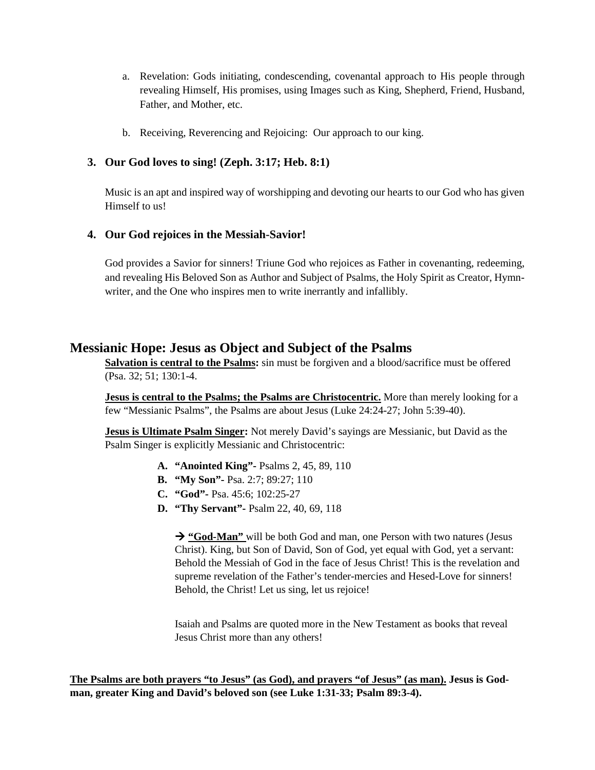- a. Revelation: Gods initiating, condescending, covenantal approach to His people through revealing Himself, His promises, using Images such as King, Shepherd, Friend, Husband, Father, and Mother, etc.
- b. Receiving, Reverencing and Rejoicing: Our approach to our king.

### **3. Our God loves to sing! (Zeph. 3:17; Heb. 8:1)**

Music is an apt and inspired way of worshipping and devoting our hearts to our God who has given Himself to us!

### **4. Our God rejoices in the Messiah-Savior!**

God provides a Savior for sinners! Triune God who rejoices as Father in covenanting, redeeming, and revealing His Beloved Son as Author and Subject of Psalms, the Holy Spirit as Creator, Hymnwriter, and the One who inspires men to write inerrantly and infallibly.

# **Messianic Hope: Jesus as Object and Subject of the Psalms**

**Salvation is central to the Psalms:** sin must be forgiven and a blood/sacrifice must be offered (Psa. 32; 51; 130:1-4.

**Jesus is central to the Psalms; the Psalms are Christocentric.** More than merely looking for a few "Messianic Psalms", the Psalms are about Jesus (Luke 24:24-27; John 5:39-40).

**Jesus is Ultimate Psalm Singer:** Not merely David's sayings are Messianic, but David as the Psalm Singer is explicitly Messianic and Christocentric:

- **A. "Anointed King"-** Psalms 2, 45, 89, 110
- **B. "My Son"-** Psa. 2:7; 89:27; 110
- **C. "God"-** Psa. 45:6; 102:25-27
- **D. "Thy Servant"-** Psalm 22, 40, 69, 118

 **"God-Man"** will be both God and man, one Person with two natures (Jesus Christ). King, but Son of David, Son of God, yet equal with God, yet a servant: Behold the Messiah of God in the face of Jesus Christ! This is the revelation and supreme revelation of the Father's tender-mercies and Hesed-Love for sinners! Behold, the Christ! Let us sing, let us rejoice!

Isaiah and Psalms are quoted more in the New Testament as books that reveal Jesus Christ more than any others!

**The Psalms are both prayers "to Jesus" (as God), and prayers "of Jesus" (as man). Jesus is Godman, greater King and David's beloved son (see Luke 1:31-33; Psalm 89:3-4).**